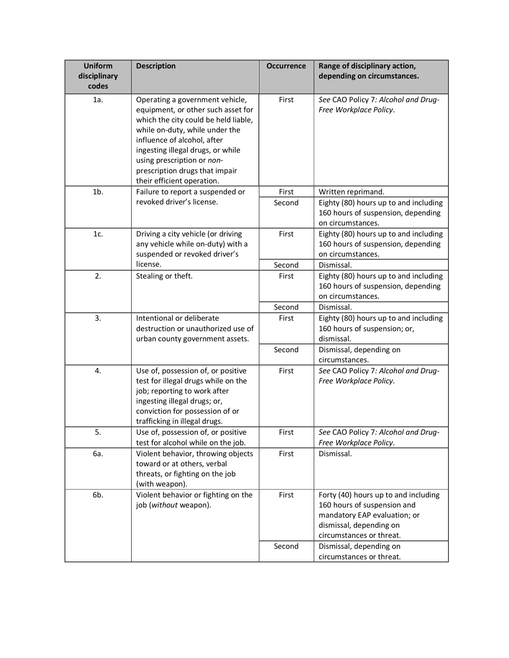| <b>Uniform</b><br>disciplinary<br>codes | <b>Description</b>                                                                                                                                                                                                                                                                                                | <b>Occurrence</b> | Range of disciplinary action,<br>depending on circumstances.                                                                                                                          |
|-----------------------------------------|-------------------------------------------------------------------------------------------------------------------------------------------------------------------------------------------------------------------------------------------------------------------------------------------------------------------|-------------------|---------------------------------------------------------------------------------------------------------------------------------------------------------------------------------------|
| 1a.                                     | Operating a government vehicle,<br>equipment, or other such asset for<br>which the city could be held liable,<br>while on-duty, while under the<br>influence of alcohol, after<br>ingesting illegal drugs, or while<br>using prescription or non-<br>prescription drugs that impair<br>their efficient operation. | First             | See CAO Policy 7: Alcohol and Drug-<br>Free Workplace Policy.                                                                                                                         |
| $1b$ .                                  | Failure to report a suspended or                                                                                                                                                                                                                                                                                  | First             | Written reprimand.                                                                                                                                                                    |
|                                         | revoked driver's license.                                                                                                                                                                                                                                                                                         | Second            | Eighty (80) hours up to and including<br>160 hours of suspension, depending<br>on circumstances.                                                                                      |
| 1c.                                     | Driving a city vehicle (or driving<br>any vehicle while on-duty) with a<br>suspended or revoked driver's                                                                                                                                                                                                          | First             | Eighty (80) hours up to and including<br>160 hours of suspension, depending<br>on circumstances.                                                                                      |
|                                         | license.                                                                                                                                                                                                                                                                                                          | Second            | Dismissal.                                                                                                                                                                            |
| 2.                                      | Stealing or theft.                                                                                                                                                                                                                                                                                                | First             | Eighty (80) hours up to and including<br>160 hours of suspension, depending<br>on circumstances.                                                                                      |
|                                         |                                                                                                                                                                                                                                                                                                                   | Second            | Dismissal.                                                                                                                                                                            |
| 3.                                      | Intentional or deliberate<br>destruction or unauthorized use of<br>urban county government assets.                                                                                                                                                                                                                | First             | Eighty (80) hours up to and including<br>160 hours of suspension; or,<br>dismissal.                                                                                                   |
|                                         |                                                                                                                                                                                                                                                                                                                   | Second            | Dismissal, depending on<br>circumstances.                                                                                                                                             |
| 4.                                      | Use of, possession of, or positive<br>test for illegal drugs while on the<br>job; reporting to work after<br>ingesting illegal drugs; or,<br>conviction for possession of or<br>trafficking in illegal drugs.                                                                                                     | First             | See CAO Policy 7: Alcohol and Drug-<br>Free Workplace Policy.                                                                                                                         |
| 5.                                      | Use of, possession of, or positive<br>test for alcohol while on the job.                                                                                                                                                                                                                                          | First             | See CAO Policy 7: Alcohol and Drug-<br>Free Workplace Policy.                                                                                                                         |
| 6a.                                     | Violent behavior, throwing objects<br>toward or at others, verbal<br>threats, or fighting on the job<br>(with weapon).                                                                                                                                                                                            | First             | Dismissal.                                                                                                                                                                            |
| 6b.                                     | Violent behavior or fighting on the<br>job (without weapon).                                                                                                                                                                                                                                                      | First<br>Second   | Forty (40) hours up to and including<br>160 hours of suspension and<br>mandatory EAP evaluation; or<br>dismissal, depending on<br>circumstances or threat.<br>Dismissal, depending on |
|                                         |                                                                                                                                                                                                                                                                                                                   |                   | circumstances or threat.                                                                                                                                                              |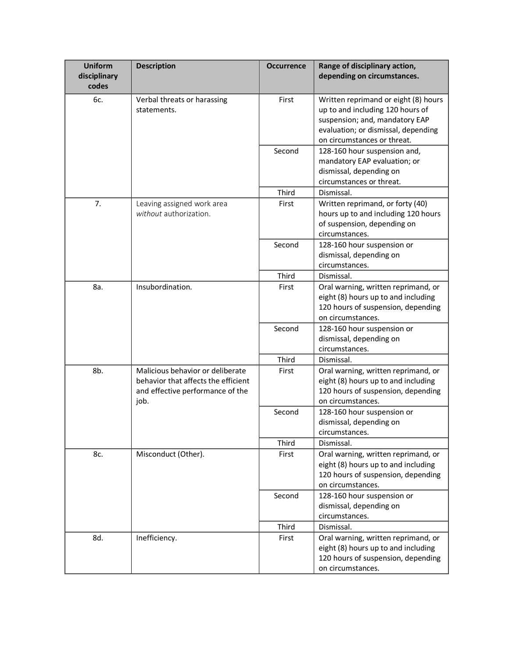| <b>Uniform</b><br>disciplinary<br>codes | <b>Description</b>                                                                                                  | <b>Occurrence</b> | Range of disciplinary action,<br>depending on circumstances.                                                                                                                     |
|-----------------------------------------|---------------------------------------------------------------------------------------------------------------------|-------------------|----------------------------------------------------------------------------------------------------------------------------------------------------------------------------------|
| 6с.                                     | Verbal threats or harassing<br>statements.                                                                          | First             | Written reprimand or eight (8) hours<br>up to and including 120 hours of<br>suspension; and, mandatory EAP<br>evaluation; or dismissal, depending<br>on circumstances or threat. |
|                                         |                                                                                                                     | Second            | 128-160 hour suspension and,<br>mandatory EAP evaluation; or<br>dismissal, depending on<br>circumstances or threat.                                                              |
|                                         |                                                                                                                     | Third             | Dismissal.                                                                                                                                                                       |
| 7.                                      | Leaving assigned work area<br>without authorization.                                                                | First             | Written reprimand, or forty (40)<br>hours up to and including 120 hours<br>of suspension, depending on<br>circumstances.                                                         |
|                                         |                                                                                                                     | Second            | 128-160 hour suspension or<br>dismissal, depending on<br>circumstances.                                                                                                          |
|                                         |                                                                                                                     | Third             | Dismissal.                                                                                                                                                                       |
| 8a.                                     | Insubordination.                                                                                                    | First             | Oral warning, written reprimand, or<br>eight (8) hours up to and including<br>120 hours of suspension, depending<br>on circumstances.                                            |
|                                         |                                                                                                                     | Second            | 128-160 hour suspension or<br>dismissal, depending on<br>circumstances.                                                                                                          |
|                                         |                                                                                                                     | Third             | Dismissal.                                                                                                                                                                       |
| 8b.                                     | Malicious behavior or deliberate<br>behavior that affects the efficient<br>and effective performance of the<br>job. | First             | Oral warning, written reprimand, or<br>eight (8) hours up to and including<br>120 hours of suspension, depending<br>on circumstances.                                            |
|                                         |                                                                                                                     | Second            | 128-160 hour suspension or<br>dismissal, depending on<br>circumstances.                                                                                                          |
|                                         |                                                                                                                     | Third             | Dismissal.                                                                                                                                                                       |
| 8c.                                     | Misconduct (Other).                                                                                                 | First             | Oral warning, written reprimand, or<br>eight (8) hours up to and including<br>120 hours of suspension, depending<br>on circumstances.                                            |
|                                         |                                                                                                                     | Second            | 128-160 hour suspension or<br>dismissal, depending on<br>circumstances.                                                                                                          |
|                                         |                                                                                                                     | Third             | Dismissal.                                                                                                                                                                       |
| 8d.                                     | Inefficiency.                                                                                                       | First             | Oral warning, written reprimand, or<br>eight (8) hours up to and including<br>120 hours of suspension, depending<br>on circumstances.                                            |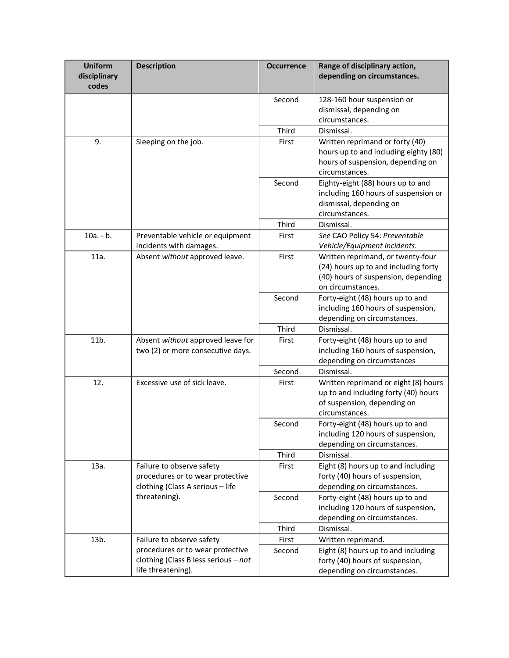| <b>Uniform</b><br>disciplinary<br>codes | <b>Description</b>                                                                                                          | <b>Occurrence</b> | Range of disciplinary action,<br>depending on circumstances.                                                                          |
|-----------------------------------------|-----------------------------------------------------------------------------------------------------------------------------|-------------------|---------------------------------------------------------------------------------------------------------------------------------------|
|                                         |                                                                                                                             | Second            | 128-160 hour suspension or<br>dismissal, depending on<br>circumstances.                                                               |
|                                         |                                                                                                                             | Third             | Dismissal.                                                                                                                            |
| 9.                                      | Sleeping on the job.                                                                                                        | First             | Written reprimand or forty (40)<br>hours up to and including eighty (80)<br>hours of suspension, depending on<br>circumstances.       |
|                                         |                                                                                                                             | Second            | Eighty-eight (88) hours up to and<br>including 160 hours of suspension or<br>dismissal, depending on<br>circumstances.                |
|                                         |                                                                                                                             | Third             | Dismissal.                                                                                                                            |
| $10a. - b.$                             | Preventable vehicle or equipment<br>incidents with damages.                                                                 | First             | See CAO Policy 54: Preventable<br>Vehicle/Equipment Incidents.                                                                        |
| 11a.                                    | Absent without approved leave.                                                                                              | First             | Written reprimand, or twenty-four<br>(24) hours up to and including forty<br>(40) hours of suspension, depending<br>on circumstances. |
|                                         |                                                                                                                             | Second            | Forty-eight (48) hours up to and<br>including 160 hours of suspension,<br>depending on circumstances.                                 |
|                                         |                                                                                                                             | Third             | Dismissal.                                                                                                                            |
| 11b.                                    | Absent without approved leave for<br>two (2) or more consecutive days.                                                      | First             | Forty-eight (48) hours up to and<br>including 160 hours of suspension,<br>depending on circumstances                                  |
|                                         |                                                                                                                             | Second            | Dismissal.                                                                                                                            |
| 12.                                     | Excessive use of sick leave.                                                                                                | First             | Written reprimand or eight (8) hours<br>up to and including forty (40) hours<br>of suspension, depending on<br>circumstances.         |
|                                         |                                                                                                                             | Second            | Forty-eight (48) hours up to and<br>including 120 hours of suspension,<br>depending on circumstances.                                 |
|                                         |                                                                                                                             | Third             | Dismissal.                                                                                                                            |
| 13a.                                    | Failure to observe safety<br>procedures or to wear protective<br>clothing (Class A serious - life                           | First             | Eight (8) hours up to and including<br>forty (40) hours of suspension,<br>depending on circumstances.                                 |
|                                         | threatening).                                                                                                               | Second            | Forty-eight (48) hours up to and<br>including 120 hours of suspension,<br>depending on circumstances.                                 |
|                                         |                                                                                                                             | Third             | Dismissal.                                                                                                                            |
| 13b.                                    | Failure to observe safety<br>procedures or to wear protective<br>clothing (Class B less serious - not<br>life threatening). | First<br>Second   | Written reprimand.<br>Eight (8) hours up to and including<br>forty (40) hours of suspension,<br>depending on circumstances.           |